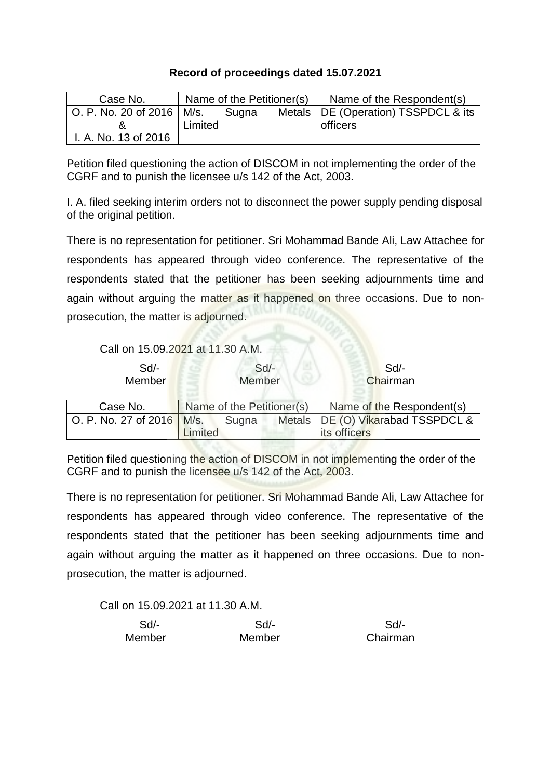## **Record of proceedings dated 15.07.2021**

| Case No.                                        |         | Name of the Petitioner(s) | Name of the Respondent(s)             |
|-------------------------------------------------|---------|---------------------------|---------------------------------------|
| $\vert$ O. P. No. 20 of 2016 $\vert$ M/s. Sugna |         |                           | Metals   DE (Operation) TSSPDCL & its |
|                                                 | Limited |                           | officers                              |
| I. A. No. 13 of 2016                            |         |                           |                                       |

Petition filed questioning the action of DISCOM in not implementing the order of the CGRF and to punish the licensee u/s 142 of the Act, 2003.

I. A. filed seeking interim orders not to disconnect the power supply pending disposal of the original petition.

There is no representation for petitioner. Sri Mohammad Bande Ali, Law Attachee for respondents has appeared through video conference. The representative of the respondents stated that the petitioner has been seeking adjournments time and again without arguing the matter as it happened on three occasions. Due to nonprosecution, the matter is adjourned.

Call on 15.09.2021 at 11.30 A.M.

| $Sd$ -<br>Member            | $Sd$ -<br>Member          | Sd<br>Chairman                      |
|-----------------------------|---------------------------|-------------------------------------|
| Case No.                    | Name of the Petitioner(s) | Name of the Respondent(s)           |
| O. P. No. 27 of 2016   M/s. | Sugna                     | Metals   DE (O) Vikarabad TSSPDCL & |
|                             |                           | its officers                        |

Petition filed questioning the action of DISCOM in not implementing the order of the CGRF and to punish the licensee u/s 142 of the Act, 2003.

There is no representation for petitioner. Sri Mohammad Bande Ali, Law Attachee for respondents has appeared through video conference. The representative of the respondents stated that the petitioner has been seeking adjournments time and again without arguing the matter as it happened on three occasions. Due to nonprosecution, the matter is adjourned.

Call on 15.09.2021 at 11.30 A.M.

| Sd/-   | $Sd$ - | Sd       |
|--------|--------|----------|
| Member | Member | Chairman |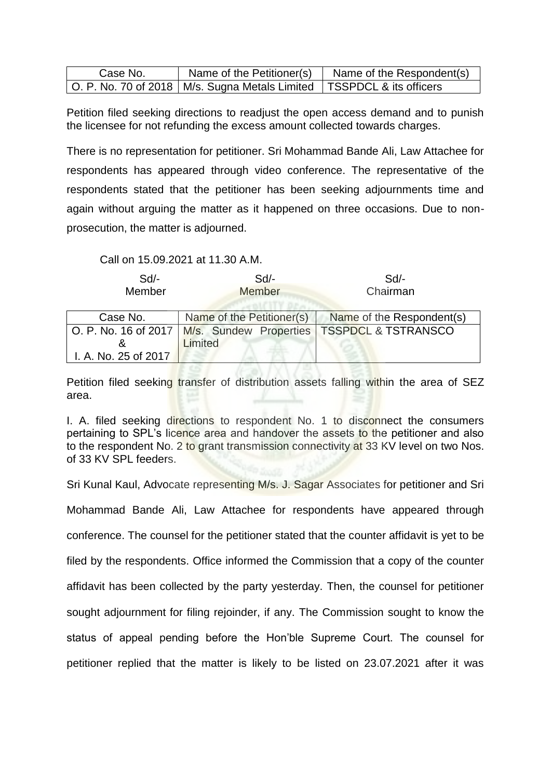| Case No. |                                                                           | Name of the Petitioner(s) $\vert$ Name of the Respondent(s) |
|----------|---------------------------------------------------------------------------|-------------------------------------------------------------|
|          | O. P. No. 70 of 2018   M/s. Sugna Metals Limited   TSSPDCL & its officers |                                                             |

Petition filed seeking directions to readjust the open access demand and to punish the licensee for not refunding the excess amount collected towards charges.

There is no representation for petitioner. Sri Mohammad Bande Ali, Law Attachee for respondents has appeared through video conference. The representative of the respondents stated that the petitioner has been seeking adjournments time and again without arguing the matter as it happened on three occasions. Due to nonprosecution, the matter is adjourned.

Call on 15.09.2021 at 11.30 A.M.

| $Sd$ -<br>Member     | Sd<br><b>Member</b>                           | Sd<br>Chairman                 |
|----------------------|-----------------------------------------------|--------------------------------|
| Case No.             | Name of the Petitioner(s)                     | Name of the Respondent(s)      |
|                      | O. P. No. 16 of 2017   M/s. Sundew Properties | <b>TSSPDCL &amp; TSTRANSCO</b> |
|                      | Limited                                       |                                |
| I. A. No. 25 of 2017 |                                               |                                |

Petition filed seeking transfer of distribution assets falling within the area of SEZ area.

I. A. filed seeking directions to respondent No. 1 to disconnect the consumers pertaining to SPL's licence area and handover the assets to the petitioner and also to the respondent No. 2 to grant transmission connectivity at 33 KV level on two Nos. of 33 KV SPL feeders.

Sri Kunal Kaul, Advocate representing M/s. J. Sagar Associates for petitioner and Sri

Mohammad Bande Ali, Law Attachee for respondents have appeared through conference. The counsel for the petitioner stated that the counter affidavit is yet to be filed by the respondents. Office informed the Commission that a copy of the counter affidavit has been collected by the party yesterday. Then, the counsel for petitioner sought adjournment for filing rejoinder, if any. The Commission sought to know the status of appeal pending before the Hon'ble Supreme Court. The counsel for petitioner replied that the matter is likely to be listed on 23.07.2021 after it was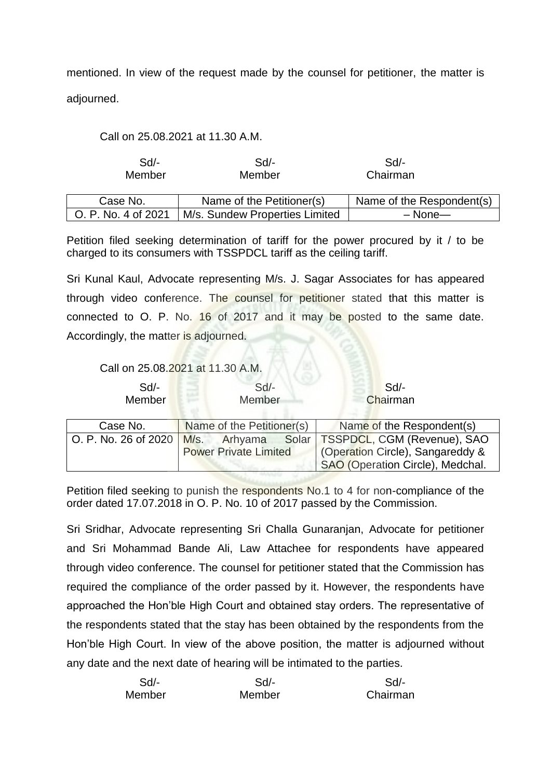mentioned. In view of the request made by the counsel for petitioner, the matter is adjourned.

Call on 25.08.2021 at 11.30 A.M.

| Sd/-<br>Member      | Sd/-<br>Member                 | Sd/-<br>Chairman          |
|---------------------|--------------------------------|---------------------------|
| Case No.            | Name of the Petitioner(s)      | Name of the Respondent(s) |
| O. P. No. 4 of 2021 | M/s. Sundew Properties Limited | $-$ None $-$              |

Petition filed seeking determination of tariff for the power procured by it / to be charged to its consumers with TSSPDCL tariff as the ceiling tariff.

Sri Kunal Kaul, Advocate representing M/s. J. Sagar Associates for has appeared through video conference. The counsel for petitioner stated that this matter is connected to O. P. No. 16 of 2017 and it may be posted to the same date. Accordingly, the matter is adjourned.

Call on 25.08.2021 at 11.30 A.M.

Member Member Chairman

Sd/- Sd/- Sd/- Sd/-

| Case No.             | Name of the Petitioner(s)    | Name of the Respondent(s)                                            |
|----------------------|------------------------------|----------------------------------------------------------------------|
| O. P. No. 26 of 2020 | $M/s$ .<br>Arhyama           | Solar   TSSPDCL, CGM (Revenue), SAO                                  |
|                      | <b>Power Private Limited</b> | Coperation Circle), Sangareddy &<br>SAO (Operation Circle), Medchal. |

Petition filed seeking to punish the respondents No.1 to 4 for non-compliance of the order dated 17.07.2018 in O. P. No. 10 of 2017 passed by the Commission.

Sri Sridhar, Advocate representing Sri Challa Gunaranjan, Advocate for petitioner and Sri Mohammad Bande Ali, Law Attachee for respondents have appeared through video conference. The counsel for petitioner stated that the Commission has required the compliance of the order passed by it. However, the respondents have approached the Hon'ble High Court and obtained stay orders. The representative of the respondents stated that the stay has been obtained by the respondents from the Hon'ble High Court. In view of the above position, the matter is adjourned without any date and the next date of hearing will be intimated to the parties.

| $Sd$ - | Sd     | Sd       |
|--------|--------|----------|
| Member | Member | Chairman |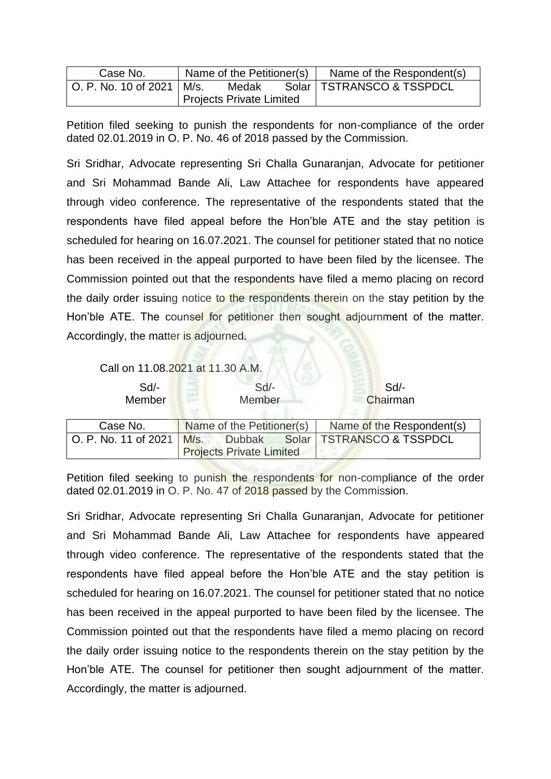| Case No.                    | Name of the Petitioner(s) | Name of the Respondent(s)   |
|-----------------------------|---------------------------|-----------------------------|
| O. P. No. 10 of 2021   M/s. | Medak                     | Solar   TSTRANSCO & TSSPDCL |
|                             | Projects Private Limited  |                             |

Petition filed seeking to punish the respondents for non-compliance of the order dated 02.01.2019 in O. P. No. 46 of 2018 passed by the Commission.

Sri Sridhar, Advocate representing Sri Challa Gunaranjan, Advocate for petitioner and Sri Mohammad Bande Ali, Law Attachee for respondents have appeared through video conference. The representative of the respondents stated that the respondents have filed appeal before the Hon'ble ATE and the stay petition is scheduled for hearing on 16.07.2021. The counsel for petitioner stated that no notice has been received in the appeal purported to have been filed by the licensee. The Commission pointed out that the respondents have filed a memo placing on record the daily order issuing notice to the respondents therein on the stay petition by the Hon'ble ATE. The counsel for petitioner then sought adjournment of the matter. Accordingly, the matter is adjourned.

Call on 11.08.2021 at 11.30 A.M.

| $Sd$ - | $Sd$ - | Sd/-    |
|--------|--------|---------|
| Member | Member | Chairma |

Member Chairman Case No. Name of the Petitioner(s) Name of the Respondent(s) O. P. No. 11 of 2021 M/s. Dubbak Solar TSTRANSCO & TSSPDCL

Petition filed seeking to punish the respondents for non-compliance of the order dated 02.01.2019 in O. P. No. 47 of 2018 passed by the Commission.

Projects Private Limited

Sri Sridhar, Advocate representing Sri Challa Gunaranjan, Advocate for petitioner and Sri Mohammad Bande Ali, Law Attachee for respondents have appeared through video conference. The representative of the respondents stated that the respondents have filed appeal before the Hon'ble ATE and the stay petition is scheduled for hearing on 16.07.2021. The counsel for petitioner stated that no notice has been received in the appeal purported to have been filed by the licensee. The Commission pointed out that the respondents have filed a memo placing on record the daily order issuing notice to the respondents therein on the stay petition by the Hon'ble ATE. The counsel for petitioner then sought adjournment of the matter. Accordingly, the matter is adjourned.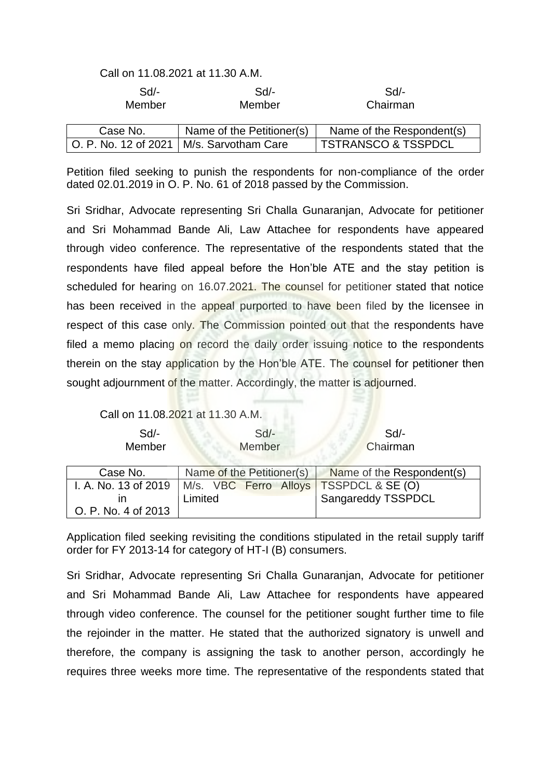## Call on 11.08.2021 at 11.30 A.M.

| $Sd$ -   | Sd/-                                       | Sd                             |
|----------|--------------------------------------------|--------------------------------|
| Member   | Member                                     | Chairman                       |
| Case No. | Name of the Petitioner(s)                  | Name of the Respondent(s)      |
|          | O. P. No. 12 of 2021   M/s. Sarvotham Care | <b>TSTRANSCO &amp; TSSPDCL</b> |

Petition filed seeking to punish the respondents for non-compliance of the order dated 02.01.2019 in O. P. No. 61 of 2018 passed by the Commission.

Sri Sridhar, Advocate representing Sri Challa Gunaranjan, Advocate for petitioner and Sri Mohammad Bande Ali, Law Attachee for respondents have appeared through video conference. The representative of the respondents stated that the respondents have filed appeal before the Hon'ble ATE and the stay petition is scheduled for hearing on 16.07.2021. The counsel for petitioner stated that notice has been received in the appeal purported to have been filed by the licensee in respect of this case only. The Commission pointed out that the respondents have filed a memo placing on record the daily order issuing notice to the respondents therein on the stay application by the Hon'ble ATE. The counsel for petitioner then sought adjournment of the matter. Accordingly, the matter is adjourned.

## Call on 11.08.2021 at 11.30 A.M.

| Sd/-   | $Sd$ - | Sd       |
|--------|--------|----------|
| Member | Member | Chairman |

| Case No.            | Name of the Petitioner(s)                                       | Name of the Respondent(s)       |  |  |
|---------------------|-----------------------------------------------------------------|---------------------------------|--|--|
|                     | I. A. No. 13 of 2019   M/s. VBC Ferro Alloys   TSSPDCL & SE (O) |                                 |  |  |
|                     | Limited                                                         | <sup>1</sup> Sangareddy TSSPDCL |  |  |
| O. P. No. 4 of 2013 |                                                                 |                                 |  |  |

Application filed seeking revisiting the conditions stipulated in the retail supply tariff order for FY 2013-14 for category of HT-I (B) consumers.

Sri Sridhar, Advocate representing Sri Challa Gunaranjan, Advocate for petitioner and Sri Mohammad Bande Ali, Law Attachee for respondents have appeared through video conference. The counsel for the petitioner sought further time to file the rejoinder in the matter. He stated that the authorized signatory is unwell and therefore, the company is assigning the task to another person, accordingly he requires three weeks more time. The representative of the respondents stated that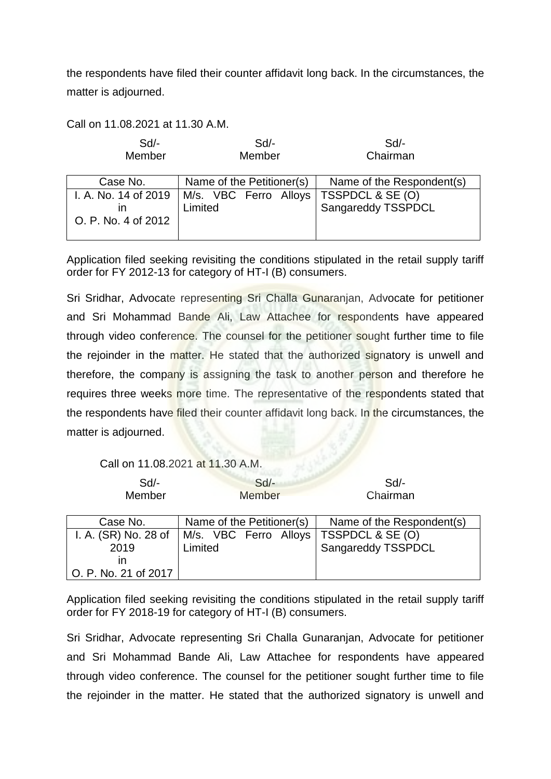the respondents have filed their counter affidavit long back. In the circumstances, the matter is adjourned.

Call on 11.08.2021 at 11.30 A.M.

| $Sd$ - | Sd/-   | Sd       |
|--------|--------|----------|
| Member | Member | Chairman |

| Case No.            | Name of the Petitioner(s)                                                  | Name of the Respondent(s) |  |  |
|---------------------|----------------------------------------------------------------------------|---------------------------|--|--|
| O. P. No. 4 of 2012 | I. A. No. 14 of 2019   M/s. VBC Ferro Alloys   TSSPDCL & SE (O)<br>Limited | Sangareddy TSSPDCL        |  |  |

Application filed seeking revisiting the conditions stipulated in the retail supply tariff order for FY 2012-13 for category of HT-I (B) consumers.

Sri Sridhar, Advocate representing Sri Challa Gunaranjan, Advocate for petitioner and Sri Mohammad Bande Ali, Law Attachee for respondents have appeared through video conference. The counsel for the petitioner sought further time to file the rejoinder in the matter. He stated that the authorized signatory is unwell and therefore, the company is assigning the task to another person and therefore he requires three weeks more time. The representative of the respondents stated that the respondents have filed their counter affidavit long back. In the circumstances, the matter is adjourned.

Call on 11.08.2021 at 11.30 A.M.

| $Sd$ -<br>Member     | $Sd$ -<br><b>Member</b>   | Sd<br>Chairman            |  |  |
|----------------------|---------------------------|---------------------------|--|--|
| Case No.             | Name of the Petitioner(s) | Name of the Respondent(s) |  |  |
| I. A. (SR) No. 28 of | M/s. VBC Ferro Alloys     | TSSPDCL & SE (O)          |  |  |
| 2019                 | Limited                   | Sangareddy TSSPDCL        |  |  |
| ın                   |                           |                           |  |  |
| O. P. No. 21 of 2017 |                           |                           |  |  |

Application filed seeking revisiting the conditions stipulated in the retail supply tariff order for FY 2018-19 for category of HT-I (B) consumers.

Sri Sridhar, Advocate representing Sri Challa Gunaranjan, Advocate for petitioner and Sri Mohammad Bande Ali, Law Attachee for respondents have appeared through video conference. The counsel for the petitioner sought further time to file the rejoinder in the matter. He stated that the authorized signatory is unwell and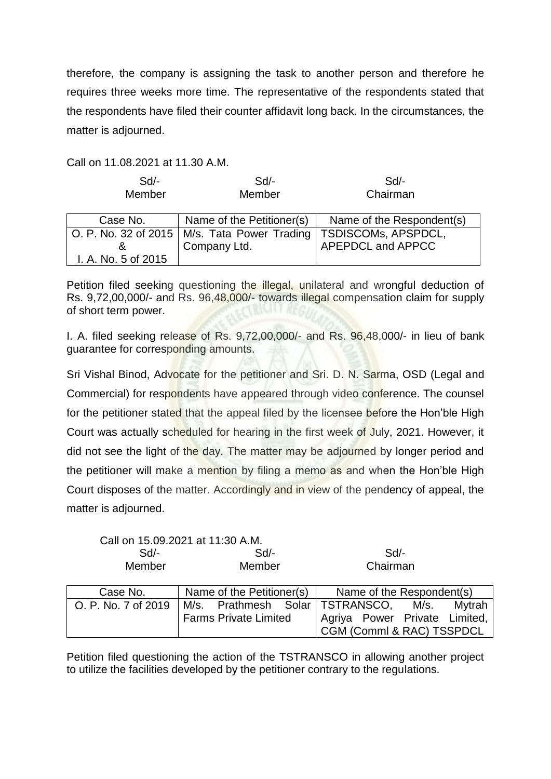therefore, the company is assigning the task to another person and therefore he requires three weeks more time. The representative of the respondents stated that the respondents have filed their counter affidavit long back. In the circumstances, the matter is adjourned.

Call on 11.08.2021 at 11.30 A.M.

| Sd<br>Member        | $Sd$ -<br>Member                               | Sd<br>Chairman            |  |  |
|---------------------|------------------------------------------------|---------------------------|--|--|
| Case No.            | Name of the Petitioner(s)                      | Name of the Respondent(s) |  |  |
|                     | O. P. No. 32 of 2015   M/s. Tata Power Trading | TSDISCOMs, APSPDCL,       |  |  |
| &                   | Company Ltd.                                   | APEPDCL and APPCC         |  |  |
| I. A. No. 5 of 2015 |                                                |                           |  |  |

Petition filed seeking questioning the illegal, unilateral and wrongful deduction of Rs. 9,72,00,000/- and Rs. 96,48,000/- towards illegal compensation claim for supply of short term power.

I. A. filed seeking release of Rs. 9,72,00,000/- and Rs. 96,48,000/- in lieu of bank guarantee for corresponding amounts.

Sri Vishal Binod, Advocate for the petitioner and Sri. D. N. Sarma, OSD (Legal and Commercial) for respondents have appeared through video conference. The counsel for the petitioner stated that the appeal filed by the licensee before the Hon'ble High Court was actually scheduled for hearing in the first week of July, 2021. However, it did not see the light of the day. The matter may be adjourned by longer period and the petitioner will make a mention by filing a memo as and when the Hon'ble High Court disposes of the matter. Accordingly and in view of the pendency of appeal, the matter is adjourned.

Call on 15.09.2021 at 11:30 A.M.

| $Sd$ -<br>Member    | $Sd$ -<br>Member                     |  | Sd<br>Chairman            |  |  |                               |
|---------------------|--------------------------------------|--|---------------------------|--|--|-------------------------------|
| Case No.            | Name of the Petitioner(s)            |  | Name of the Respondent(s) |  |  |                               |
| O. P. No. 7 of 2019 | M/s. Prathmesh Solar TSTRANSCO, M/s. |  |                           |  |  | Mytrah                        |
|                     | <b>Farms Private Limited</b>         |  |                           |  |  | Agriya Power Private Limited, |
|                     |                                      |  | CGM (Comml & RAC) TSSPDCL |  |  |                               |

Petition filed questioning the action of the TSTRANSCO in allowing another project to utilize the facilities developed by the petitioner contrary to the regulations.